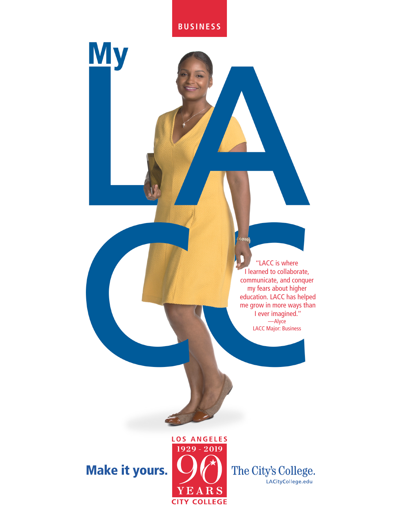## **BUSINESS**

**My** 

Make it yours.



The City's College. LACityCollege.edu

"LACC is where I learned to collaborate, communicate, and conquer my fears about higher education. LACC has helped me grow in more ways than I ever imagined." —Alyce LACC Major: Business